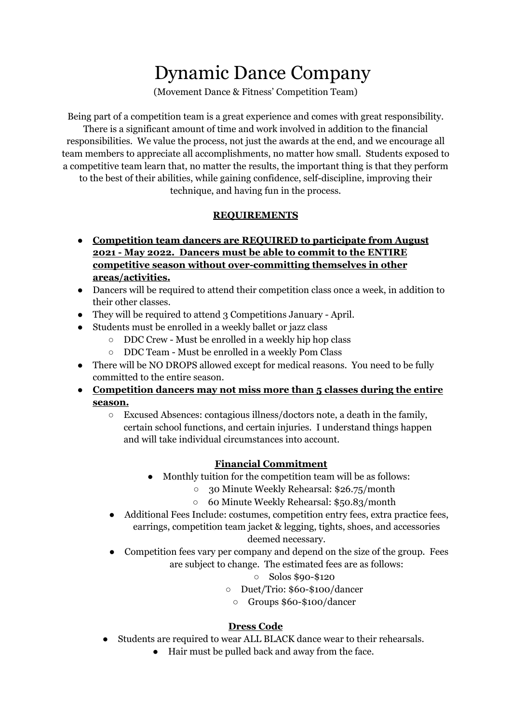# Dynamic Dance Company

(Movement Dance & Fitness' Competition Team)

Being part of a competition team is a great experience and comes with great responsibility. There is a significant amount of time and work involved in addition to the financial responsibilities. We value the process, not just the awards at the end, and we encourage all team members to appreciate all accomplishments, no matter how small. Students exposed to a competitive team learn that, no matter the results, the important thing is that they perform to the best of their abilities, while gaining confidence, self-discipline, improving their

technique, and having fun in the process.

## **REQUIREMENTS**

- **● Competition team dancers are REQUIRED to participate from August 2021 - May 2022. Dancers must be able to commit to the ENTIRE competitive season without over-committing themselves in other areas/activities.**
- Dancers will be required to attend their competition class once a week, in addition to their other classes.
- They will be required to attend 3 Competitions January April.
- Students must be enrolled in a weekly ballet or jazz class
	- DDC Crew Must be enrolled in a weekly hip hop class
	- DDC Team Must be enrolled in a weekly Pom Class
- There will be NO DROPS allowed except for medical reasons. You need to be fully committed to the entire season.
- **● Competition dancers may not miss more than 5 classes during the entire season.**
	- Excused Absences: contagious illness/doctors note, a death in the family, certain school functions, and certain injuries. I understand things happen and will take individual circumstances into account.

# **Financial Commitment**

- Monthly tuition for the competition team will be as follows:
	- 30 Minute Weekly Rehearsal: \$26.75/month
	- 60 Minute Weekly Rehearsal: \$50.83/month
- Additional Fees Include: costumes, competition entry fees, extra practice fees, earrings, competition team jacket & legging, tights, shoes, and accessories

# deemed necessary.

• Competition fees vary per company and depend on the size of the group. Fees are subject to change. The estimated fees are as follows:

## ○ Solos \$90-\$120

- Duet/Trio: \$60-\$100/dancer
	- Groups \$60-\$100/dancer

# **Dress Code**

- Students are required to wear ALL BLACK dance wear to their rehearsals.
	- Hair must be pulled back and away from the face.